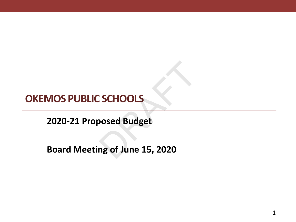# **OKEMOS PUBLIC SCHOOLS**

**2020-21 Proposed Budget**

**Board Meeting of June 15, 2020** COMORANDIS<br>COMORANDIS SOME SURFER 15, 2020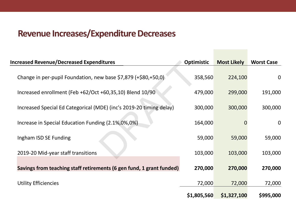#### **Revenue Increases/Expenditure Decreases**

| <b>Increased Revenue/Decreased Expenditures</b>                      | <b>Optimistic</b> | <b>Most Likely</b> | <b>Worst Case</b> |
|----------------------------------------------------------------------|-------------------|--------------------|-------------------|
| Change in per-pupil Foundation, new base \$7,879 (+\$80,+50,0)       | 358,560           | 224,100            | $\mathbf 0$       |
| Increased enrollment (Feb +62/Oct +60,35,10) Blend 10/90             | 479,000           | 299,000            | 191,000           |
| Increased Special Ed Categorical (MDE) (inc's 2019-20 timing delay)  | 300,000           | 300,000            | 300,000           |
| Increase in Special Education Funding (2.1%,0%,0%)                   | 164,000           |                    | $\mathbf 0$       |
| Ingham ISD SE Funding                                                | 59,000            | 59,000             | 59,000            |
| 2019-20 Mid-year staff transitions                                   | 103,000           | 103,000            | 103,000           |
| Savings from teaching staff retirements (6 gen fund, 1 grant funded) | 270,000           | 270,000            | 270,000           |
| <b>Utility Efficiencies</b>                                          | 72,000            | 72,000             | 72,000            |
|                                                                      | \$1,805,560       | \$1,327,100        | \$995,000         |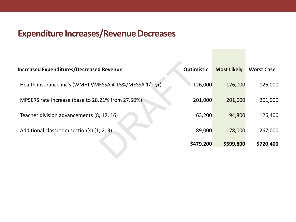#### **Expenditure Increases/Revenue Decreases**

| <b>Optimistic</b> | <b>Most Likely</b> | <b>Worst Case</b> |
|-------------------|--------------------|-------------------|
| 126,000           | 126,000            | 126,000           |
| 201,000           | 201,000            | 201,000           |
| 63,200            | 94,800             | 126,400           |
| 89,000            | 178,000            | 267,000           |
| \$479,200         | \$599,800          | \$720,400         |
|                   |                    |                   |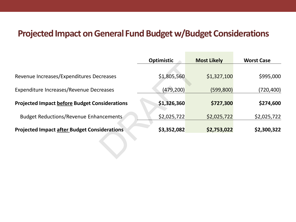#### **Projected Impact on General Fund Budget w/Budget Considerations**

|                                                      | <b>Optimistic</b> | <b>Most Likely</b> | <b>Worst Case</b> |
|------------------------------------------------------|-------------------|--------------------|-------------------|
|                                                      |                   |                    |                   |
| Revenue Increases/Expenditures Decreases             | \$1,805,560       | \$1,327,100        | \$995,000         |
| Expenditure Increases/Revenue Decreases              | (479, 200)        | (599, 800)         | (720, 400)        |
| <b>Projected Impact before Budget Considerations</b> | \$1,326,360       | \$727,300          | \$274,600         |
| <b>Budget Reductions/Revenue Enhancements</b>        | \$2,025,722       | \$2,025,722        | \$2,025,722       |
| <b>Projected Impact after Budget Considerations</b>  | \$3,352,082       | \$2,753,022        | \$2,300,322       |
|                                                      |                   |                    |                   |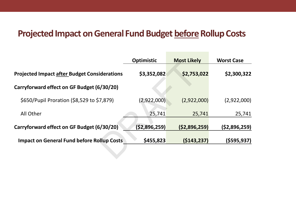## Projected Impact on General Fund Budget before Rollup Costs

|                                                     | <b>Optimistic</b> | <b>Most Likely</b> | <b>Worst Case</b> |
|-----------------------------------------------------|-------------------|--------------------|-------------------|
| <b>Projected Impact after Budget Considerations</b> | \$3,352,082       | \$2,753,022        | \$2,300,322       |
| Carryforward effect on GF Budget (6/30/20)          |                   |                    |                   |
| \$650/Pupil Proration (\$8,529 to \$7,879)          | (2,922,000)       | (2,922,000)        | (2,922,000)       |
| All Other                                           | 25,741            | 25,741             | 25,741            |
| Carryforward effect on GF Budget (6/30/20)          | (\$2,896,259)     | (52,896,259)       | (52,896,259)      |
| <b>Impact on General Fund before Rollup Costs</b>   | \$455,823         | (5143, 237)        | (\$595,937)       |
|                                                     |                   |                    |                   |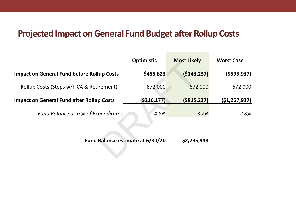### Projected Impact on General Fund Budget after Rollup Costs

|                                                   | <b>Optimistic</b> | <b>Most Likely</b> | <b>Worst Case</b> |
|---------------------------------------------------|-------------------|--------------------|-------------------|
| <b>Impact on General Fund before Rollup Costs</b> | \$455,823         | (5143, 237)        | (5595, 937)       |
| Rollup Costs (Steps w/FICA & Retirement)          | 672,000           | 672,000            | 672,000           |
| <b>Impact on General Fund after Rollup Costs</b>  | ( \$216, 177)     | ( \$815, 237)      | (\$1,267,937)     |
| Fund Balance as a % of Expenditures               | 4.8%              | 3.7%               | 2.8%              |
| Fund Balance estimate at 6/30/20                  |                   | \$2,795,948        |                   |